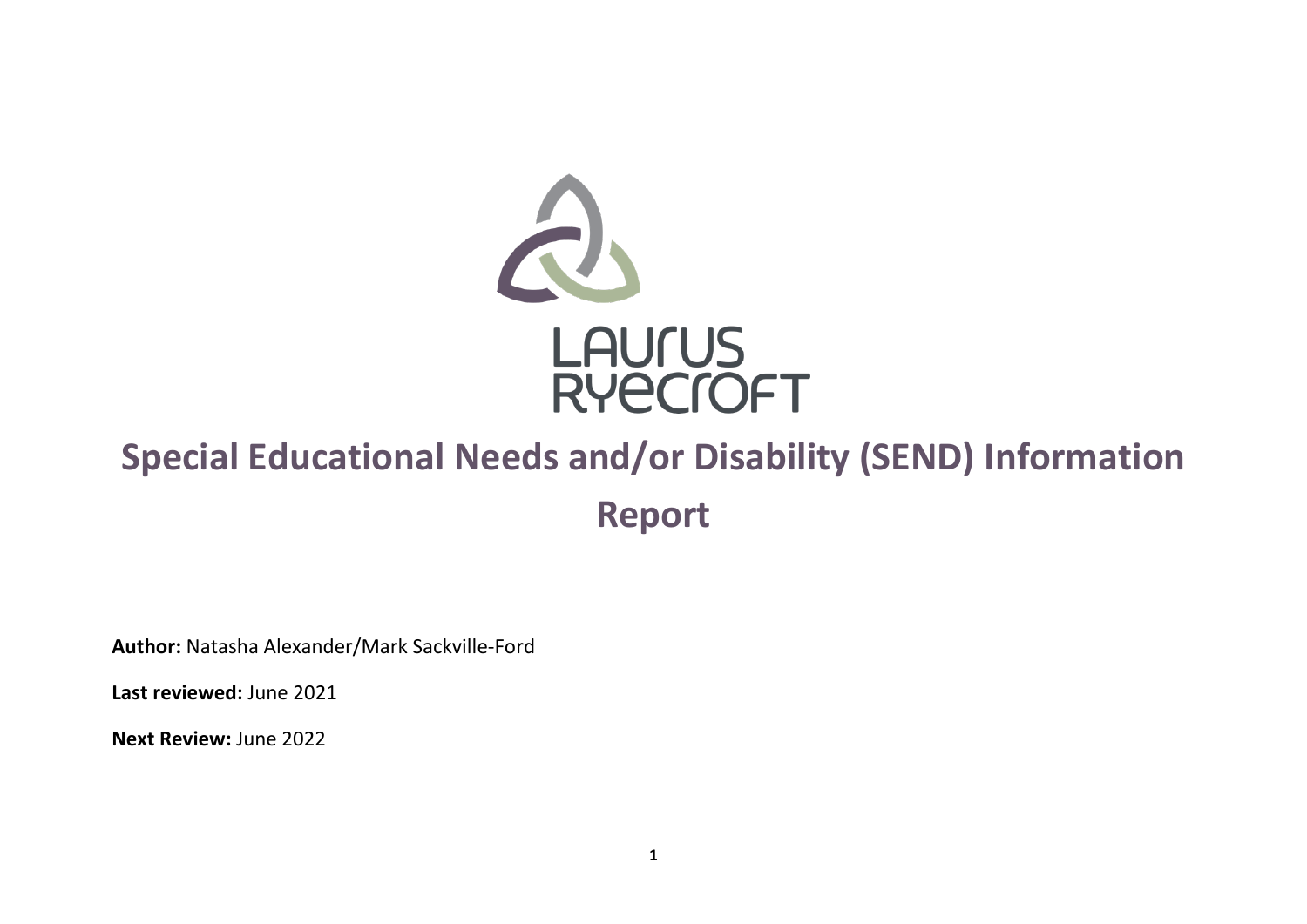

# <span id="page-0-0"></span>**Special Educational Needs and/or Disability (SEND) Information Report**

**Author:** Natasha Alexander/Mark Sackville-Ford

**Last reviewed:** June 2021

**Next Review:** June 2022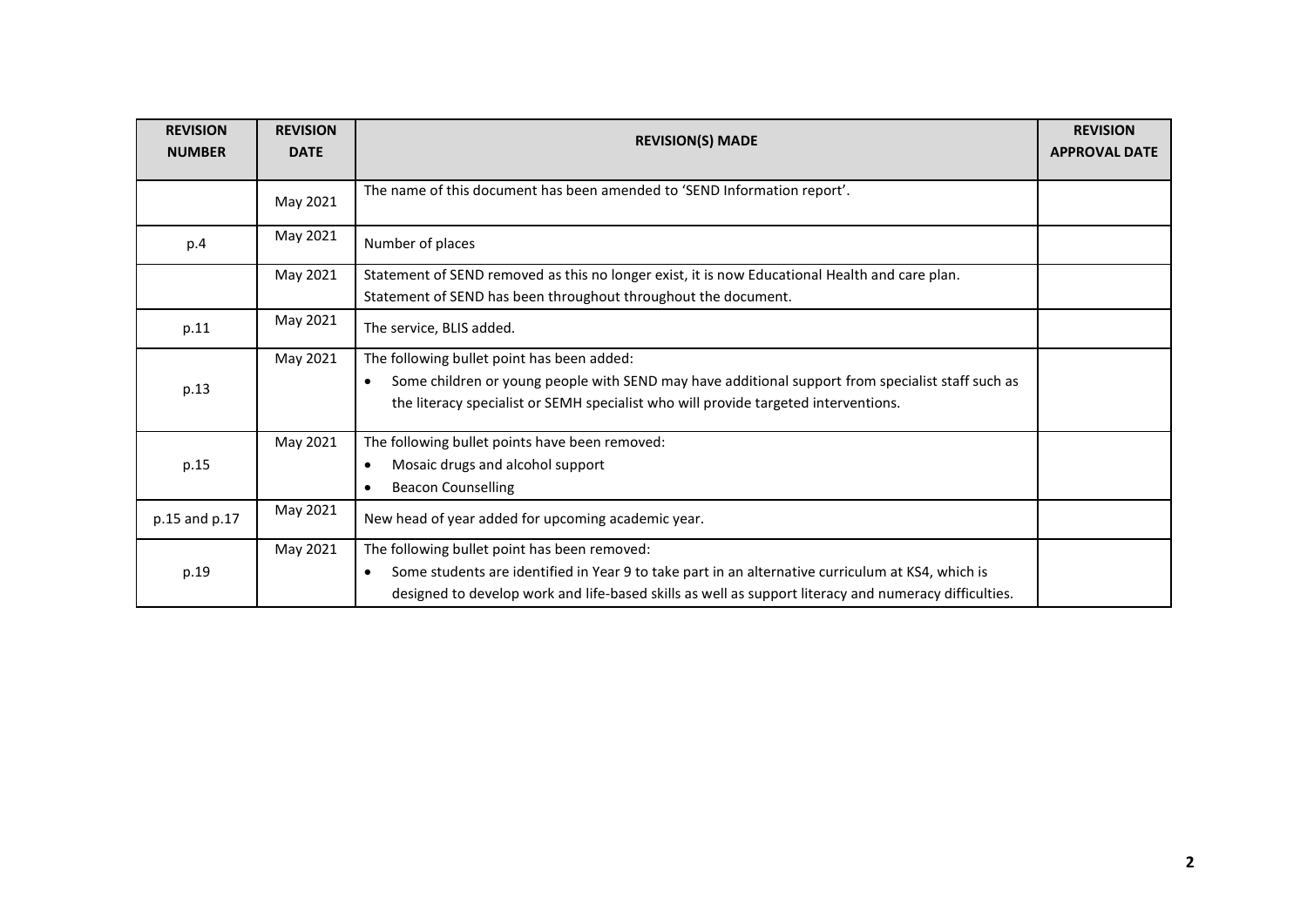| <b>REVISION</b><br><b>NUMBER</b> | <b>REVISION</b><br><b>DATE</b> | <b>REVISION(S) MADE</b>                                                                                                                                                                                                                                                 | <b>REVISION</b><br><b>APPROVAL DATE</b> |
|----------------------------------|--------------------------------|-------------------------------------------------------------------------------------------------------------------------------------------------------------------------------------------------------------------------------------------------------------------------|-----------------------------------------|
|                                  | May 2021                       | The name of this document has been amended to 'SEND Information report'.                                                                                                                                                                                                |                                         |
| p.4                              | May 2021                       | Number of places                                                                                                                                                                                                                                                        |                                         |
|                                  | May 2021                       | Statement of SEND removed as this no longer exist, it is now Educational Health and care plan.<br>Statement of SEND has been throughout throughout the document.                                                                                                        |                                         |
| p.11                             | May 2021                       | The service, BLIS added.                                                                                                                                                                                                                                                |                                         |
| p.13                             | May 2021                       | The following bullet point has been added:<br>Some children or young people with SEND may have additional support from specialist staff such as<br>$\bullet$<br>the literacy specialist or SEMH specialist who will provide targeted interventions.                     |                                         |
| p.15                             | May 2021                       | The following bullet points have been removed:<br>Mosaic drugs and alcohol support<br>$\bullet$<br><b>Beacon Counselling</b><br>$\bullet$                                                                                                                               |                                         |
| p.15 and p.17                    | May 2021                       | New head of year added for upcoming academic year.                                                                                                                                                                                                                      |                                         |
| p.19                             | May 2021                       | The following bullet point has been removed:<br>Some students are identified in Year 9 to take part in an alternative curriculum at KS4, which is<br>$\bullet$<br>designed to develop work and life-based skills as well as support literacy and numeracy difficulties. |                                         |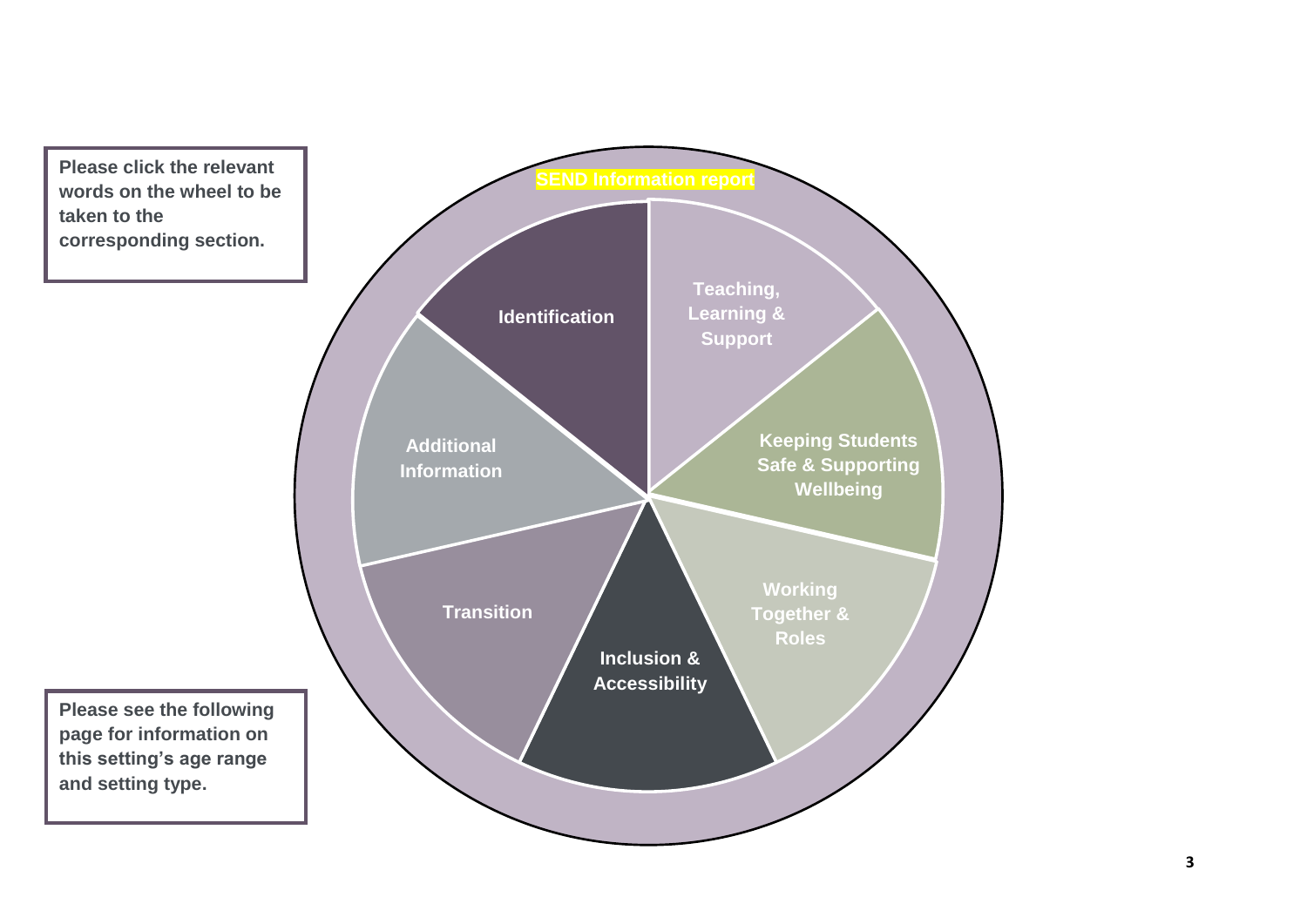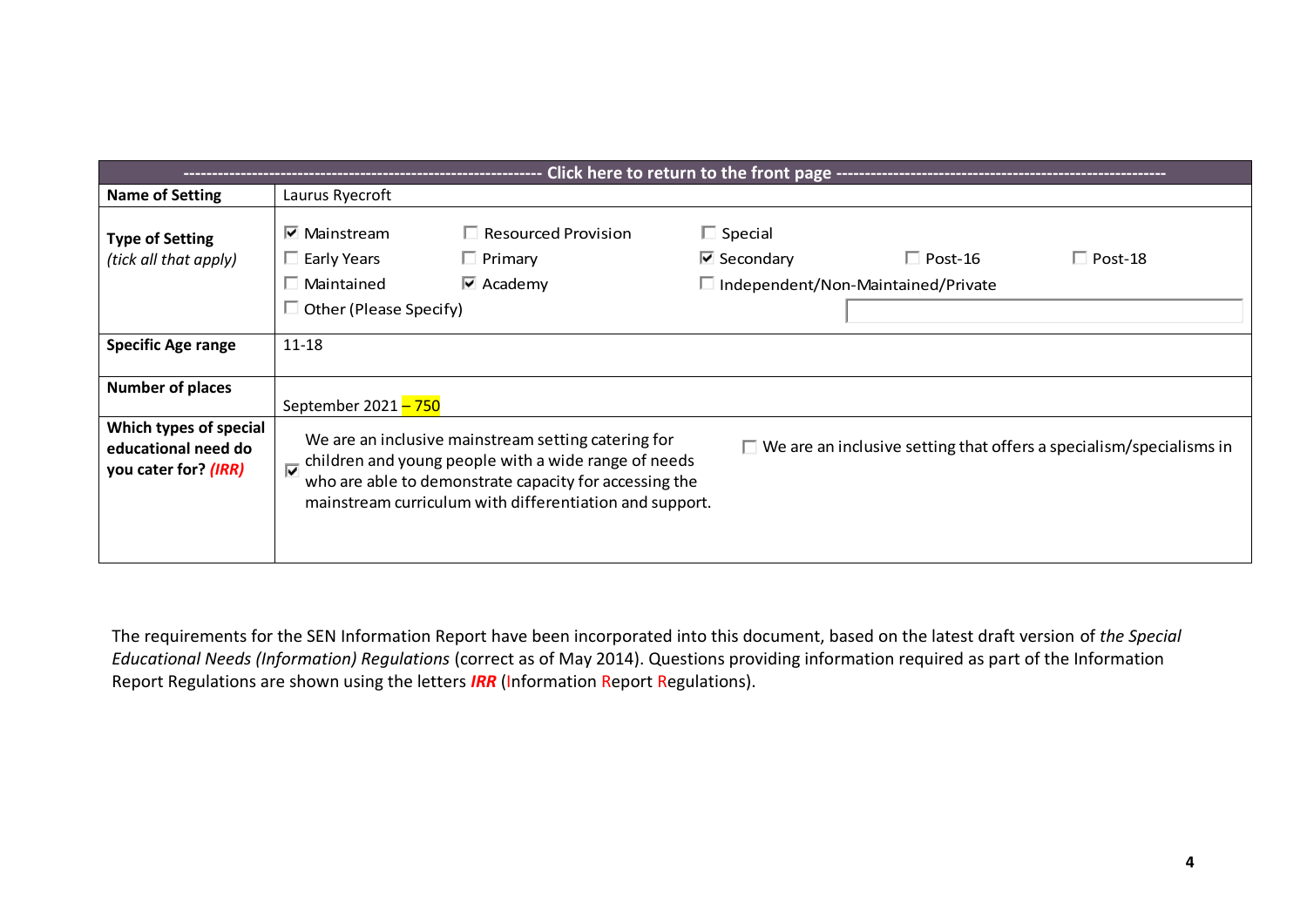| Click here to return to the front page ------------------------------- |                                                                                                        |                                                                                                                                                                                                                                  |                                                        |                                                                            |                |  |  |  |  |
|------------------------------------------------------------------------|--------------------------------------------------------------------------------------------------------|----------------------------------------------------------------------------------------------------------------------------------------------------------------------------------------------------------------------------------|--------------------------------------------------------|----------------------------------------------------------------------------|----------------|--|--|--|--|
| Name of Setting                                                        | Laurus Ryecroft                                                                                        |                                                                                                                                                                                                                                  |                                                        |                                                                            |                |  |  |  |  |
| <b>Type of Setting</b><br>(tick all that apply)                        | $\triangledown$ Mainstream<br>$\Box$ Early Years<br>$\Box$ Maintained<br>$\Box$ Other (Please Specify) | $\Box$ Resourced Provision<br>$\Box$ Primary<br>$\overline{\triangledown}$ Academy                                                                                                                                               | $\Box$ Special<br>$\overline{\triangledown}$ Secondary | $\Box$ Post-16<br>$\Box$ Independent/Non-Maintained/Private                | $\Box$ Post-18 |  |  |  |  |
| <b>Specific Age range</b>                                              | $11 - 18$                                                                                              |                                                                                                                                                                                                                                  |                                                        |                                                                            |                |  |  |  |  |
| <b>Number of places</b>                                                | September 2021 - 750                                                                                   |                                                                                                                                                                                                                                  |                                                        |                                                                            |                |  |  |  |  |
| Which types of special<br>educational need do<br>you cater for? (IRR)  |                                                                                                        | We are an inclusive mainstream setting catering for<br>children and young people with a wide range of needs<br>who are able to demonstrate capacity for accessing the<br>mainstream curriculum with differentiation and support. |                                                        | $\Box$ We are an inclusive setting that offers a specialism/specialisms in |                |  |  |  |  |

The requirements for the SEN Information Report have been incorporated into this document, based on the latest draft version of *the Special Educational Needs (Information) Regulations* (correct as of May 2014). Questions providing information required as part of the Information Report Regulations are shown using the letters *IRR* (Information Report Regulations).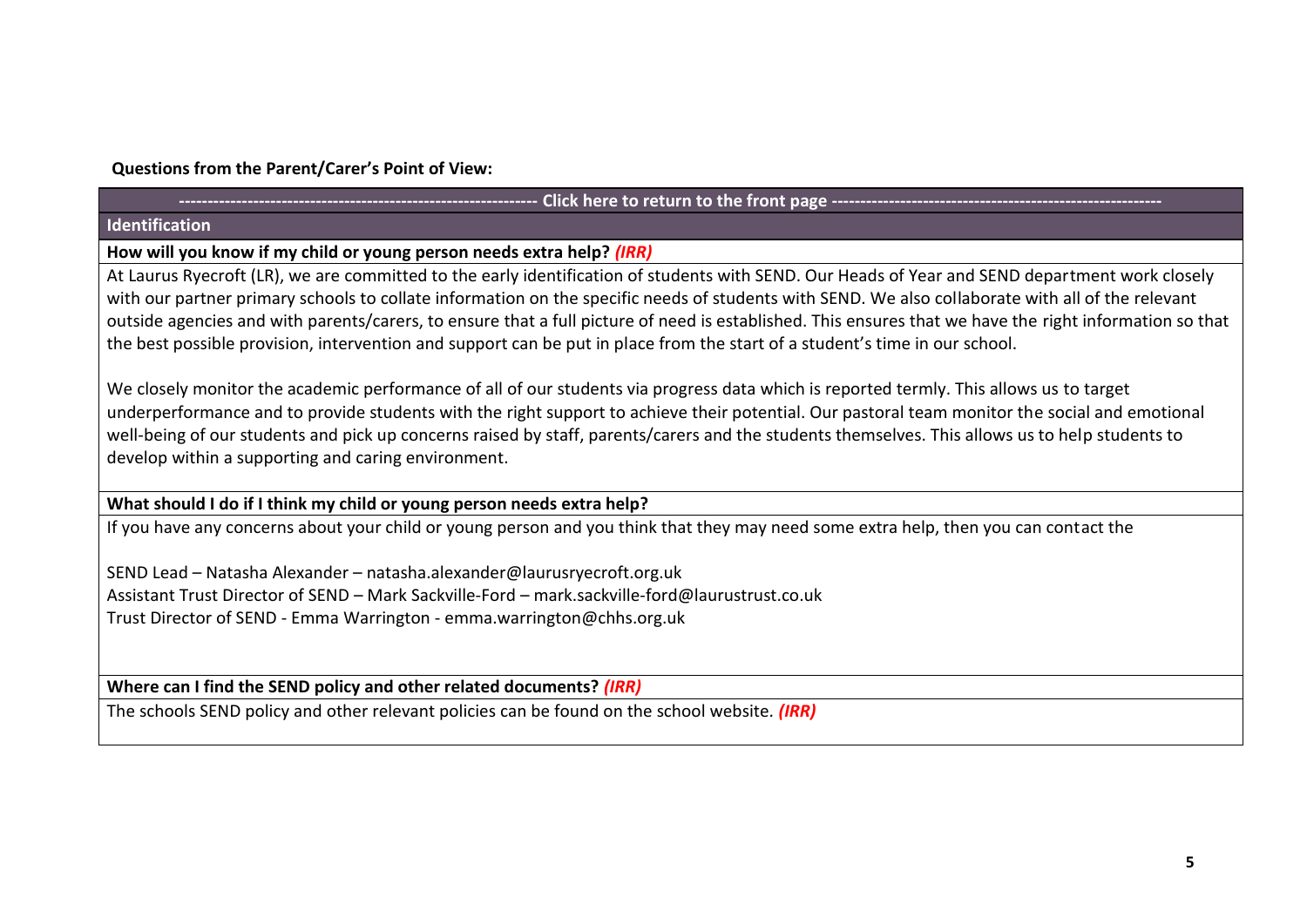# **Questions from the Parent/Carer's Point of View:**

## Click here to return to the front page --

# <span id="page-4-0"></span>**Identification**

**How will you know if my child or young person needs extra help?** *(IRR)*

At Laurus Ryecroft (LR), we are committed to the early identification of students with SEND. Our Heads of Year and SEND department work closely with our partner primary schools to collate information on the specific needs of students with SEND. We also collaborate with all of the relevant outside agencies and with parents/carers, to ensure that a full picture of need is established. This ensures that we have the right information so that the best possible provision, intervention and support can be put in place from the start of a student's time in our school.

We closely monitor the academic performance of all of our students via progress data which is reported termly. This allows us to target underperformance and to provide students with the right support to achieve their potential. Our pastoral team monitor the social and emotional well-being of our students and pick up concerns raised by staff, parents/carers and the students themselves. This allows us to help students to develop within a supporting and caring environment.

**What should I do if I think my child or young person needs extra help?** 

If you have any concerns about your child or young person and you think that they may need some extra help, then you can contact the

SEND Lead – Natasha Alexander – [natasha.alexander@laurusryecroft.org.uk](mailto:natasha.alexander@laurusryecroft.org.uk) Assistant Trust Director of SEND – Mark Sackville-Ford – [mark.sackville-ford@laurustrust.co.uk](mailto:mark.sackville-ford@laurustrust.co.uk) Trust Director of SEND - Emma Warrington - [emma.warrington@chhs.org.uk](mailto:emma.warrington@chhs.org.uk)

**Where can I find the SEND policy and other related documents?** *(IRR)*

The schools SEND policy and other relevant policies can be found on the school website*. (IRR)*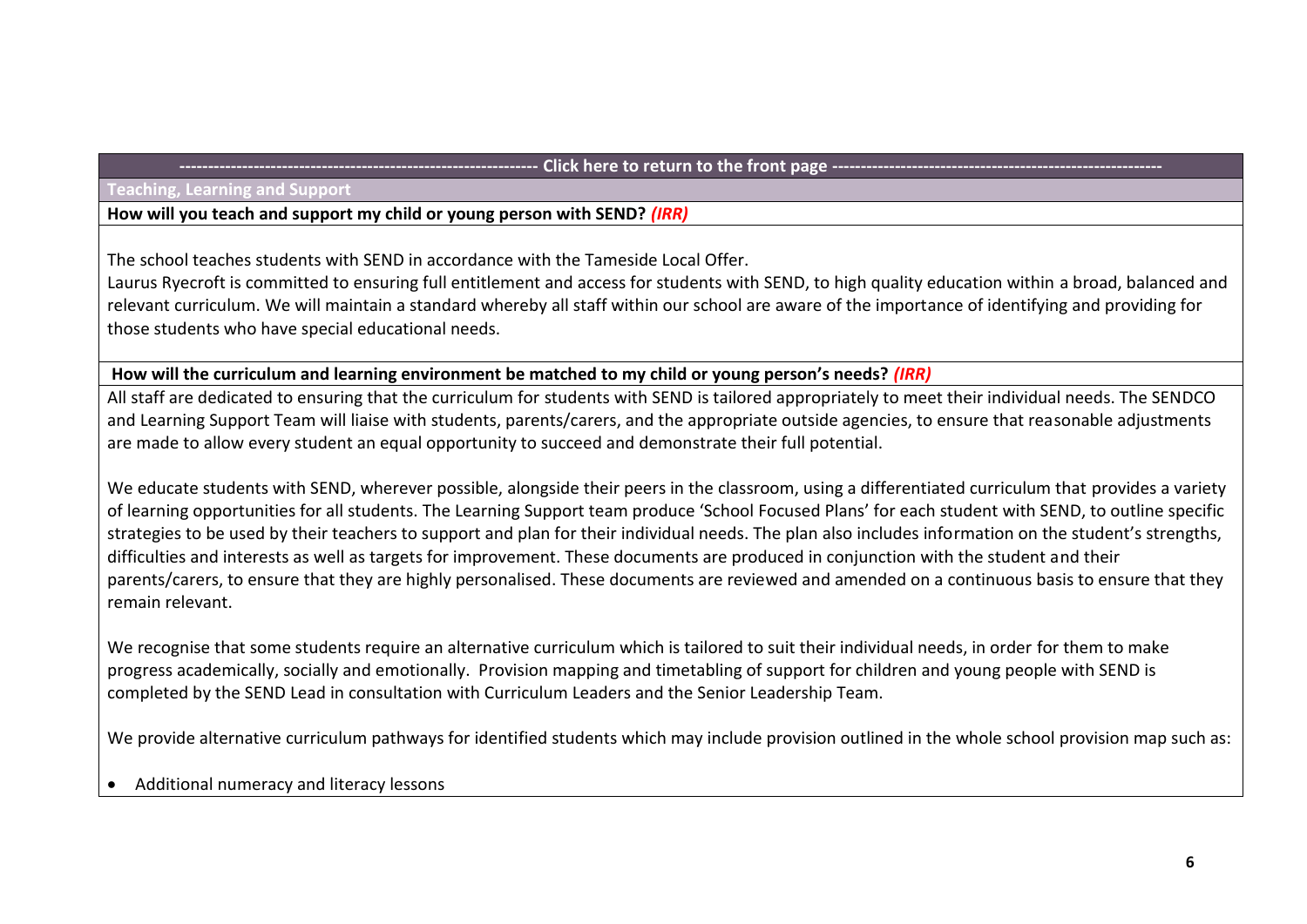#### <span id="page-5-0"></span>**Teaching, Learning and Support**

## **How will you teach and support my child or young person with SEND?** *(IRR)*

The school teaches students with SEND in accordance with the Tameside Local Offer.

Laurus Ryecroft is committed to ensuring full entitlement and access for students with SEND, to high quality education within a broad, balanced and relevant curriculum. We will maintain a standard whereby all staff within our school are aware of the importance of identifying and providing for those students who have special educational needs.

# **How will the curriculum and learning environment be matched to my child or young person's needs?** *(IRR)*

All staff are dedicated to ensuring that the curriculum for students with SEND is tailored appropriately to meet their individual needs. The SENDCO and Learning Support Team will liaise with students, parents/carers, and the appropriate outside agencies, to ensure that reasonable adjustments are made to allow every student an equal opportunity to succeed and demonstrate their full potential.

We educate students with SEND, wherever possible, alongside their peers in the classroom, using a differentiated curriculum that provides a variety of learning opportunities for all students. The Learning Support team produce 'School Focused Plans' for each student with SEND, to outline specific strategies to be used by their teachers to support and plan for their individual needs. The plan also includes information on the student's strengths, difficulties and interests as well as targets for improvement. These documents are produced in conjunction with the student and their parents/carers, to ensure that they are highly personalised. These documents are reviewed and amended on a continuous basis to ensure that they remain relevant.

We recognise that some students require an alternative curriculum which is tailored to suit their individual needs, in order for them to make progress academically, socially and emotionally. Provision mapping and timetabling of support for children and young people with SEND is completed by the SEND Lead in consultation with Curriculum Leaders and the Senior Leadership Team.

We provide alternative curriculum pathways for identified students which may include provision outlined in the whole school provision map such as:

• Additional numeracy and literacy lessons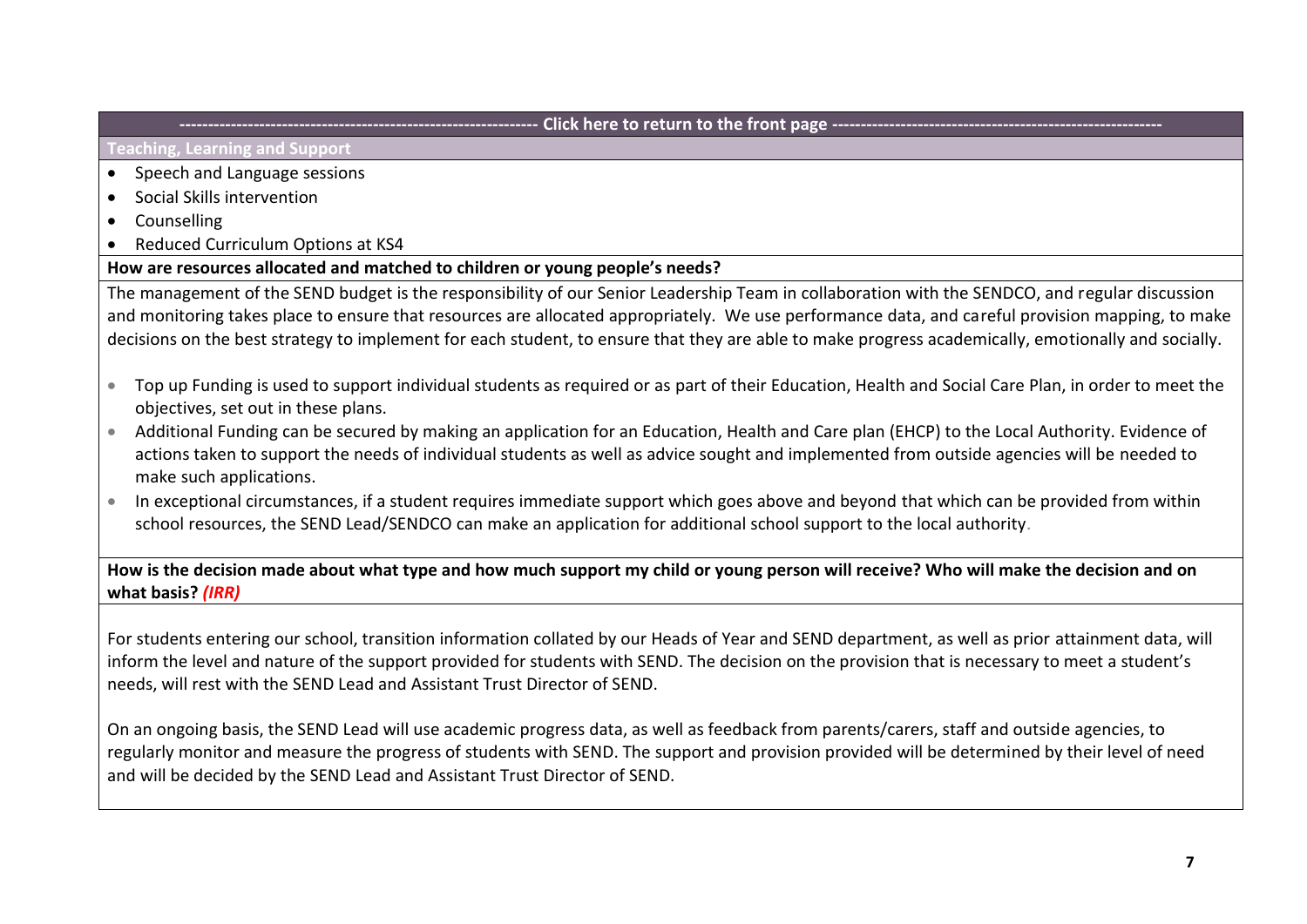**Teaching, Learning and Support**

- Speech and Language sessions
- Social Skills intervention
- Counselling
- Reduced Curriculum Options at KS4

# **How are resources allocated and matched to children or young people's needs?**

The management of the SEND budget is the responsibility of our Senior Leadership Team in collaboration with the SENDCO, and regular discussion and monitoring takes place to ensure that resources are allocated appropriately. We use performance data, and careful provision mapping, to make decisions on the best strategy to implement for each student, to ensure that they are able to make progress academically, emotionally and socially.

- Top up Funding is used to support individual students as required or as part of their Education, Health and Social Care Plan, in order to meet the objectives, set out in these plans.
- Additional Funding can be secured by making an application for an Education, Health and Care plan (EHCP) to the Local Authority. Evidence of actions taken to support the needs of individual students as well as advice sought and implemented from outside agencies will be needed to make such applications.
- In exceptional circumstances, if a student requires immediate support which goes above and beyond that which can be provided from within school resources, the SEND Lead/SENDCO can make an application for additional school support to the local authority.

**How is the decision made about what type and how much support my child or young person will receive? Who will make the decision and on what basis?** *(IRR)*

For students entering our school, transition information collated by our Heads of Year and SEND department, as well as prior attainment data, will inform the level and nature of the support provided for students with SEND. The decision on the provision that is necessary to meet a student's needs, will rest with the SEND Lead and Assistant Trust Director of SEND.

On an ongoing basis, the SEND Lead will use academic progress data, as well as feedback from parents/carers, staff and outside agencies, to regularly monitor and measure the progress of students with SEND. The support and provision provided will be determined by their level of need and will be decided by the SEND Lead and Assistant Trust Director of SEND.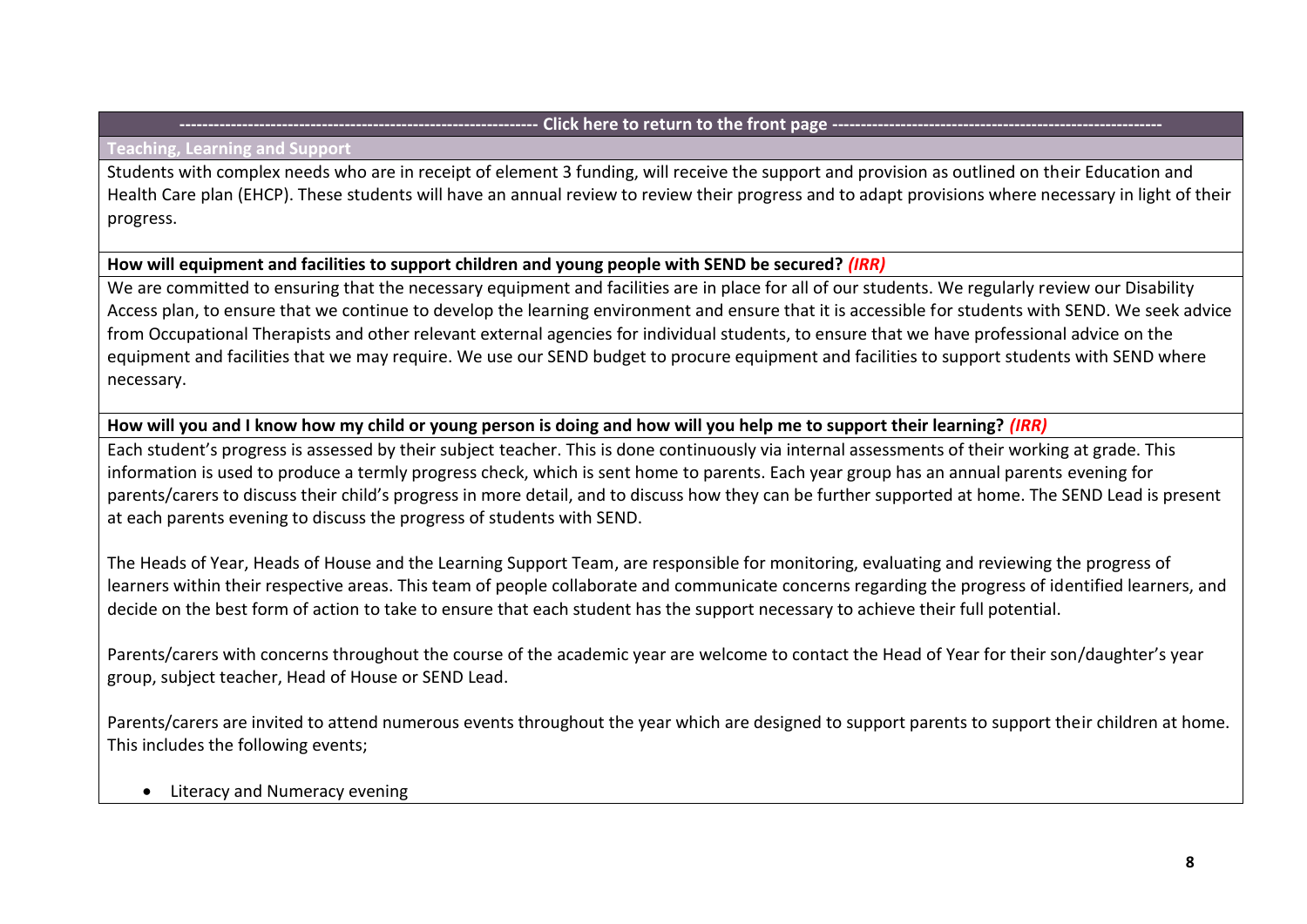#### **Teaching, Learning and Support**

Students with complex needs who are in receipt of element 3 funding, will receive the support and provision as outlined on their Education and Health Care plan (EHCP). These students will have an annual review to review their progress and to adapt provisions where necessary in light of their progress.

# **How will equipment and facilities to support children and young people with SEND be secured?** *(IRR)*

We are committed to ensuring that the necessary equipment and facilities are in place for all of our students. We regularly review our Disability Access plan, to ensure that we continue to develop the learning environment and ensure that it is accessible for students with SEND. We seek advice from Occupational Therapists and other relevant external agencies for individual students, to ensure that we have professional advice on the equipment and facilities that we may require. We use our SEND budget to procure equipment and facilities to support students with SEND where necessary.

# **How will you and I know how my child or young person is doing and how will you help me to support their learning?** *(IRR)*

Each student's progress is assessed by their subject teacher. This is done continuously via internal assessments of their working at grade. This information is used to produce a termly progress check, which is sent home to parents. Each year group has an annual parents evening for parents/carers to discuss their child's progress in more detail, and to discuss how they can be further supported at home. The SEND Lead is present at each parents evening to discuss the progress of students with SEND.

The Heads of Year, Heads of House and the Learning Support Team, are responsible for monitoring, evaluating and reviewing the progress of learners within their respective areas. This team of people collaborate and communicate concerns regarding the progress of identified learners, and decide on the best form of action to take to ensure that each student has the support necessary to achieve their full potential.

Parents/carers with concerns throughout the course of the academic year are welcome to contact the Head of Year for their son/daughter's year group, subject teacher, Head of House or SEND Lead.

Parents/carers are invited to attend numerous events throughout the year which are designed to support parents to support their children at home. This includes the following events;

## • Literacy and Numeracy evening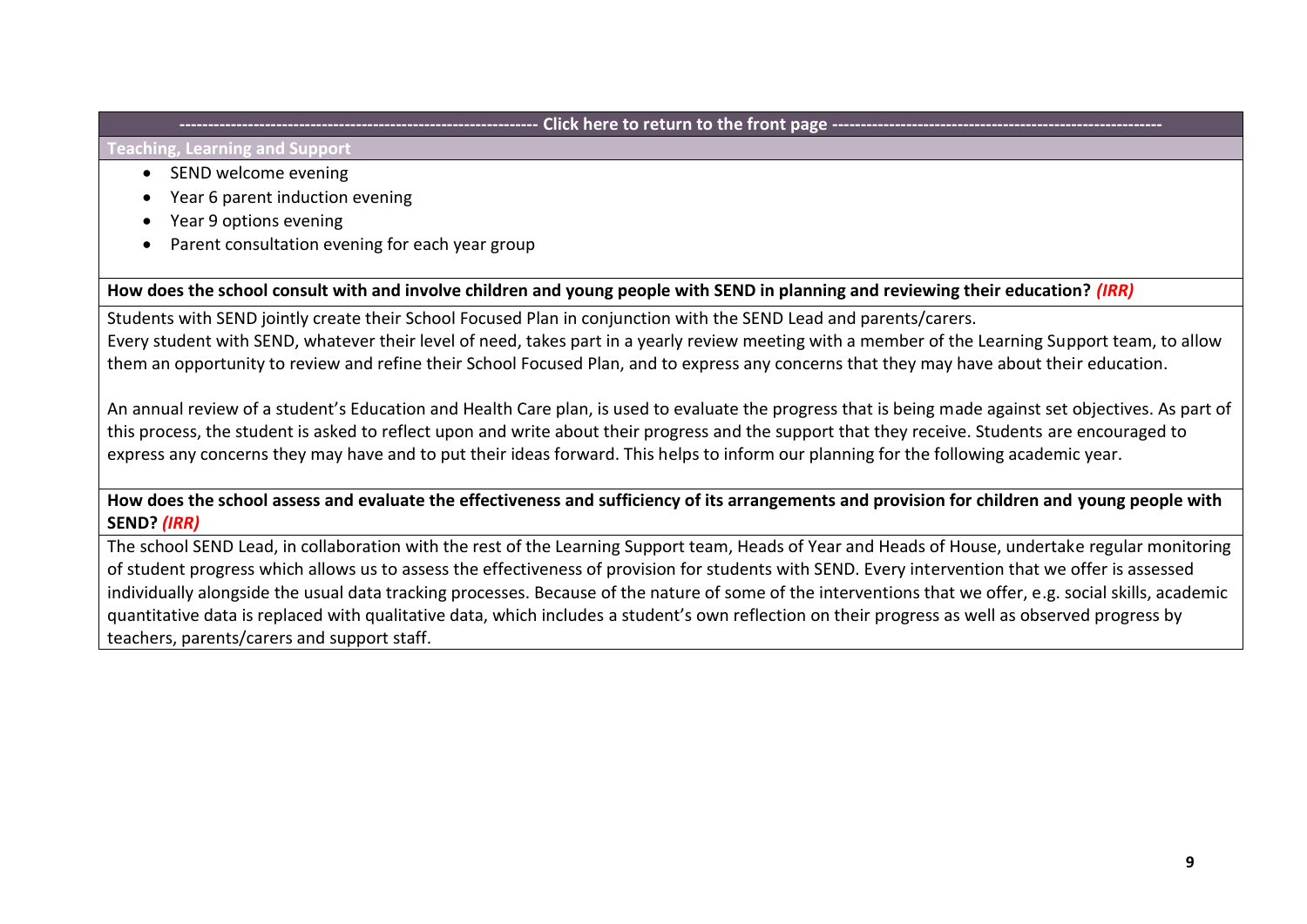#### **Teaching, Learning and Support**

- SEND welcome evening
- Year 6 parent induction evening
- Year 9 options evening
- Parent consultation evening for each year group

**How does the school consult with and involve children and young people with SEND in planning and reviewing their education?** *(IRR)*

Students with SEND jointly create their School Focused Plan in conjunction with the SEND Lead and parents/carers. Every student with SEND, whatever their level of need, takes part in a yearly review meeting with a member of the Learning Support team, to allow them an opportunity to review and refine their School Focused Plan, and to express any concerns that they may have about their education.

An annual review of a student's Education and Health Care plan, is used to evaluate the progress that is being made against set objectives. As part of this process, the student is asked to reflect upon and write about their progress and the support that they receive. Students are encouraged to express any concerns they may have and to put their ideas forward. This helps to inform our planning for the following academic year.

**How does the school assess and evaluate the effectiveness and sufficiency of its arrangements and provision for children and young people with SEND?** *(IRR)*

The school SEND Lead, in collaboration with the rest of the Learning Support team, Heads of Year and Heads of House, undertake regular monitoring of student progress which allows us to assess the effectiveness of provision for students with SEND. Every intervention that we offer is assessed individually alongside the usual data tracking processes. Because of the nature of some of the interventions that we offer, e.g. social skills, academic quantitative data is replaced with qualitative data, which includes a student's own reflection on their progress as well as observed progress by teachers, parents/carers and support staff.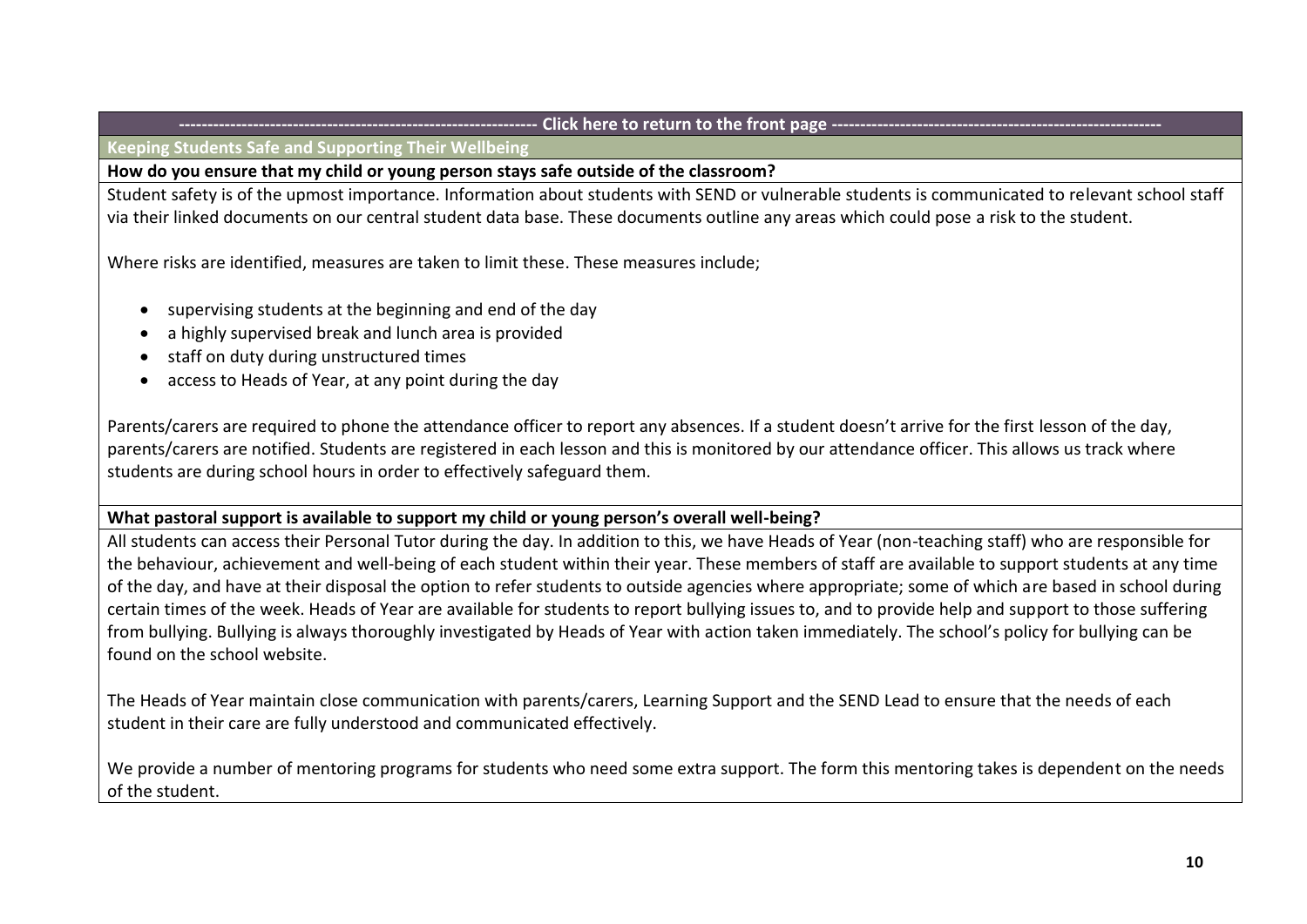<span id="page-9-0"></span>**Keeping Students Safe and Supporting Their Wellbeing**

**How do you ensure that my child or young person stays safe outside of the classroom?** 

Student safety is of the upmost importance. Information about students with SEND or vulnerable students is communicated to relevant school staff via their linked documents on our central student data base. These documents outline any areas which could pose a risk to the student.

Where risks are identified, measures are taken to limit these. These measures include;

- supervising students at the beginning and end of the day
- a highly supervised break and lunch area is provided
- staff on duty during unstructured times
- access to Heads of Year, at any point during the day

Parents/carers are required to phone the attendance officer to report any absences. If a student doesn't arrive for the first lesson of the day, parents/carers are notified. Students are registered in each lesson and this is monitored by our attendance officer. This allows us track where students are during school hours in order to effectively safeguard them.

# **What pastoral support is available to support my child or young person's overall well-being?**

All students can access their Personal Tutor during the day. In addition to this, we have Heads of Year (non-teaching staff) who are responsible for the behaviour, achievement and well-being of each student within their year. These members of staff are available to support students at any time of the day, and have at their disposal the option to refer students to outside agencies where appropriate; some of which are based in school during certain times of the week. Heads of Year are available for students to report bullying issues to, and to provide help and support to those suffering from bullying. Bullying is always thoroughly investigated by Heads of Year with action taken immediately. The school's policy for bullying can be found on the school website.

The Heads of Year maintain close communication with parents/carers, Learning Support and the SEND Lead to ensure that the needs of each student in their care are fully understood and communicated effectively.

We provide a number of mentoring programs for students who need some extra support. The form this mentoring takes is dependent on the needs of the student.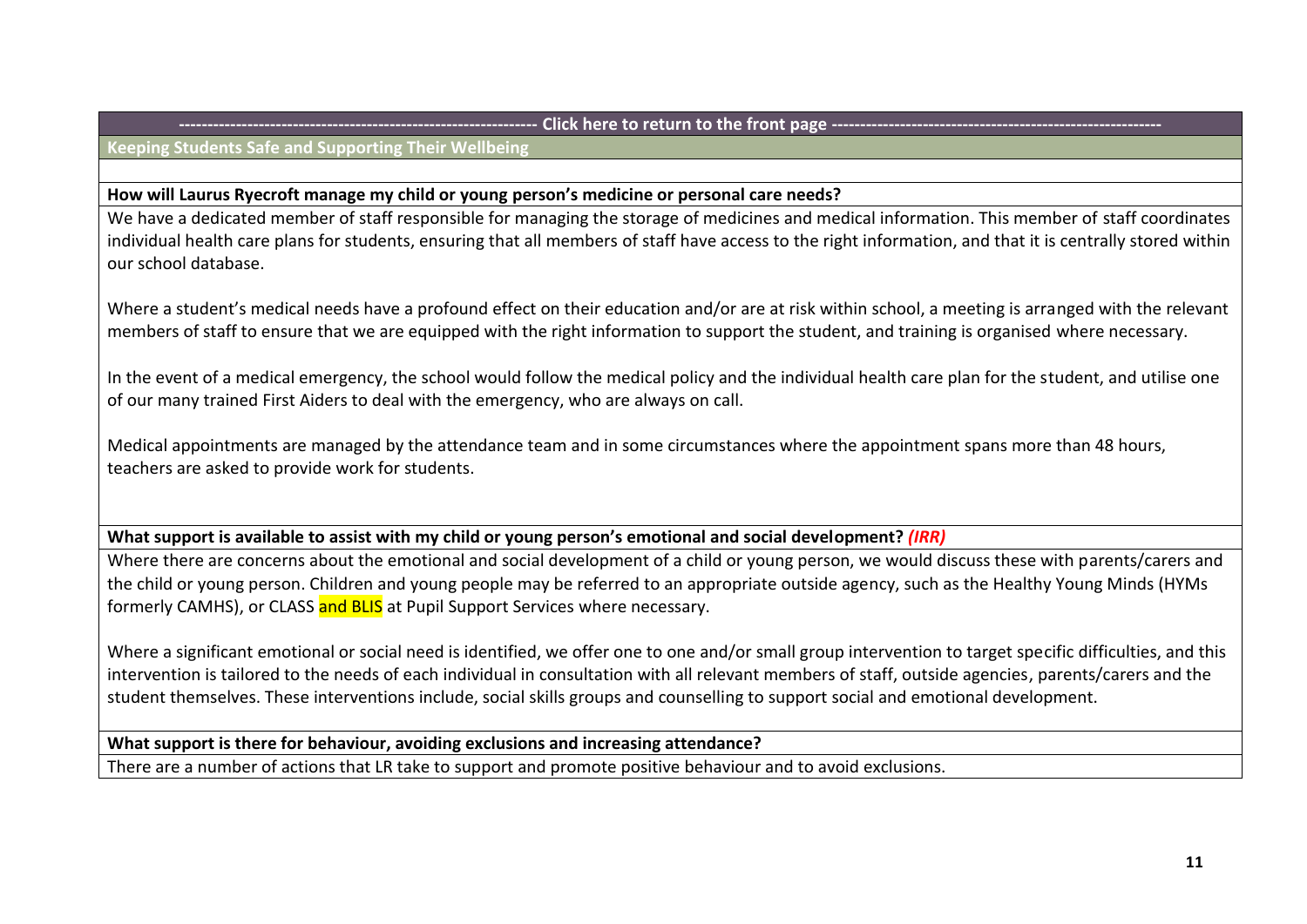**Keeping Students Safe and Supporting Their Wellbeing**

## **How will Laurus Ryecroft manage my child or young person's medicine or personal care needs?**

We have a dedicated member of staff responsible for managing the storage of medicines and medical information. This member of staff coordinates individual health care plans for students, ensuring that all members of staff have access to the right information, and that it is centrally stored within our school database.

Where a student's medical needs have a profound effect on their education and/or are at risk within school, a meeting is arranged with the relevant members of staff to ensure that we are equipped with the right information to support the student, and training is organised where necessary.

In the event of a medical emergency, the school would follow the medical policy and the individual health care plan for the student, and utilise one of our many trained First Aiders to deal with the emergency, who are always on call.

Medical appointments are managed by the attendance team and in some circumstances where the appointment spans more than 48 hours, teachers are asked to provide work for students.

**What support is available to assist with my child or young person's emotional and social development?** *(IRR)*

Where there are concerns about the emotional and social development of a child or young person, we would discuss these with parents/carers and the child or young person. Children and young people may be referred to an appropriate outside agency, such as the Healthy Young Minds (HYMs formerly CAMHS), or CLASS and BLIS at Pupil Support Services where necessary.

Where a significant emotional or social need is identified, we offer one to one and/or small group intervention to target specific difficulties, and this intervention is tailored to the needs of each individual in consultation with all relevant members of staff, outside agencies, parents/carers and the student themselves. These interventions include, social skills groups and counselling to support social and emotional development.

**What support is there for behaviour, avoiding exclusions and increasing attendance?**

There are a number of actions that LR take to support and promote positive behaviour and to avoid exclusions.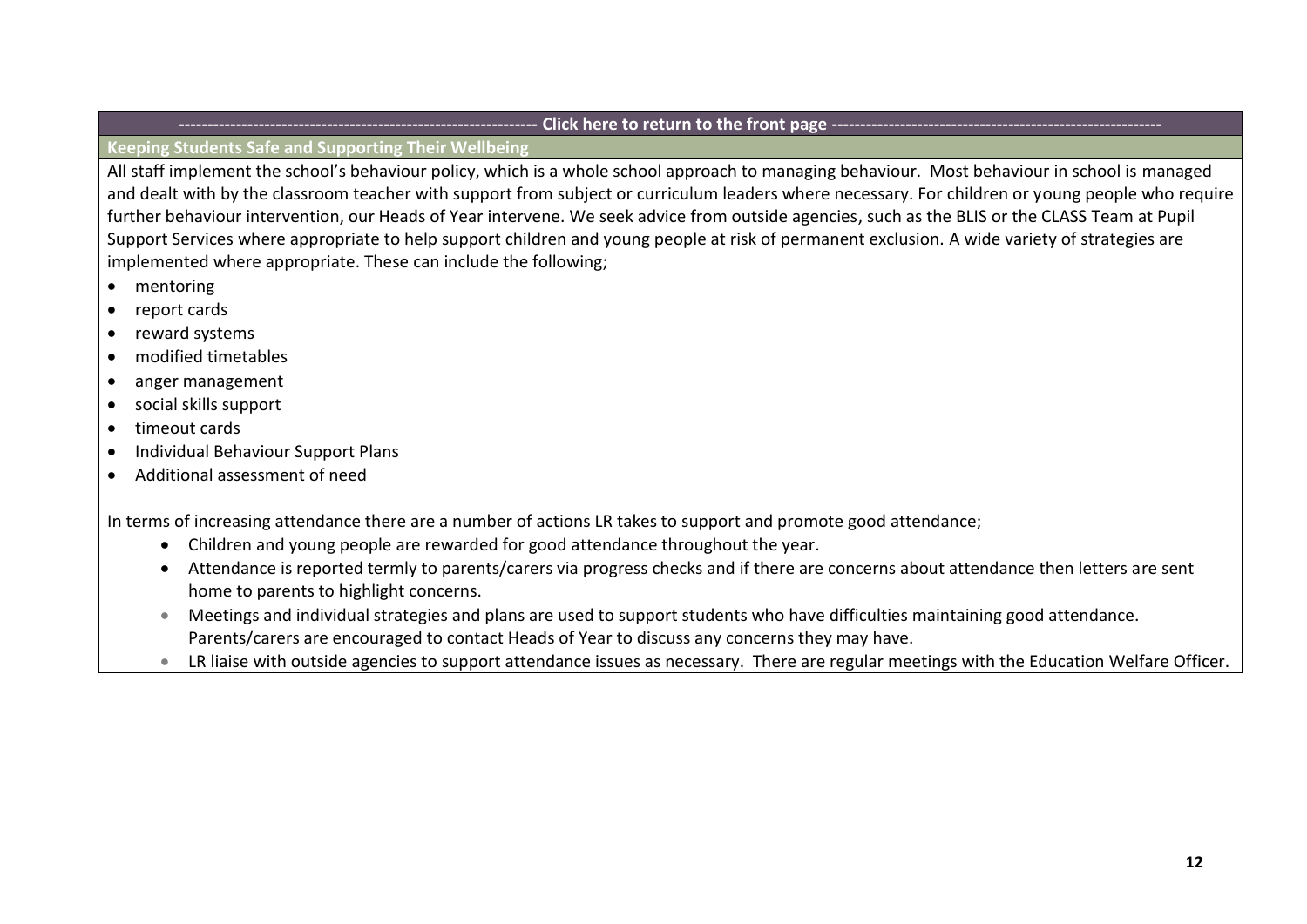# **Keeping Students Safe and Supporting Their Wellbeing**

All staff implement the school's behaviour policy, which is a whole school approach to managing behaviour. Most behaviour in school is managed and dealt with by the classroom teacher with support from subject or curriculum leaders where necessary. For children or young people who require further behaviour intervention, our Heads of Year intervene. We seek advice from outside agencies, such as the BLIS or the CLASS Team at Pupil Support Services where appropriate to help support children and young people at risk of permanent exclusion. A wide variety of strategies are implemented where appropriate. These can include the following;

- mentoring
- report cards
- reward systems
- modified timetables
- anger management
- social skills support
- timeout cards
- Individual Behaviour Support Plans
- Additional assessment of need

In terms of increasing attendance there are a number of actions LR takes to support and promote good attendance;

- Children and young people are rewarded for good attendance throughout the year.
- Attendance is reported termly to parents/carers via progress checks and if there are concerns about attendance then letters are sent home to parents to highlight concerns.
- Meetings and individual strategies and plans are used to support students who have difficulties maintaining good attendance. Parents/carers are encouraged to contact Heads of Year to discuss any concerns they may have.
- LR liaise with outside agencies to support attendance issues as necessary. There are regular meetings with the Education Welfare Officer.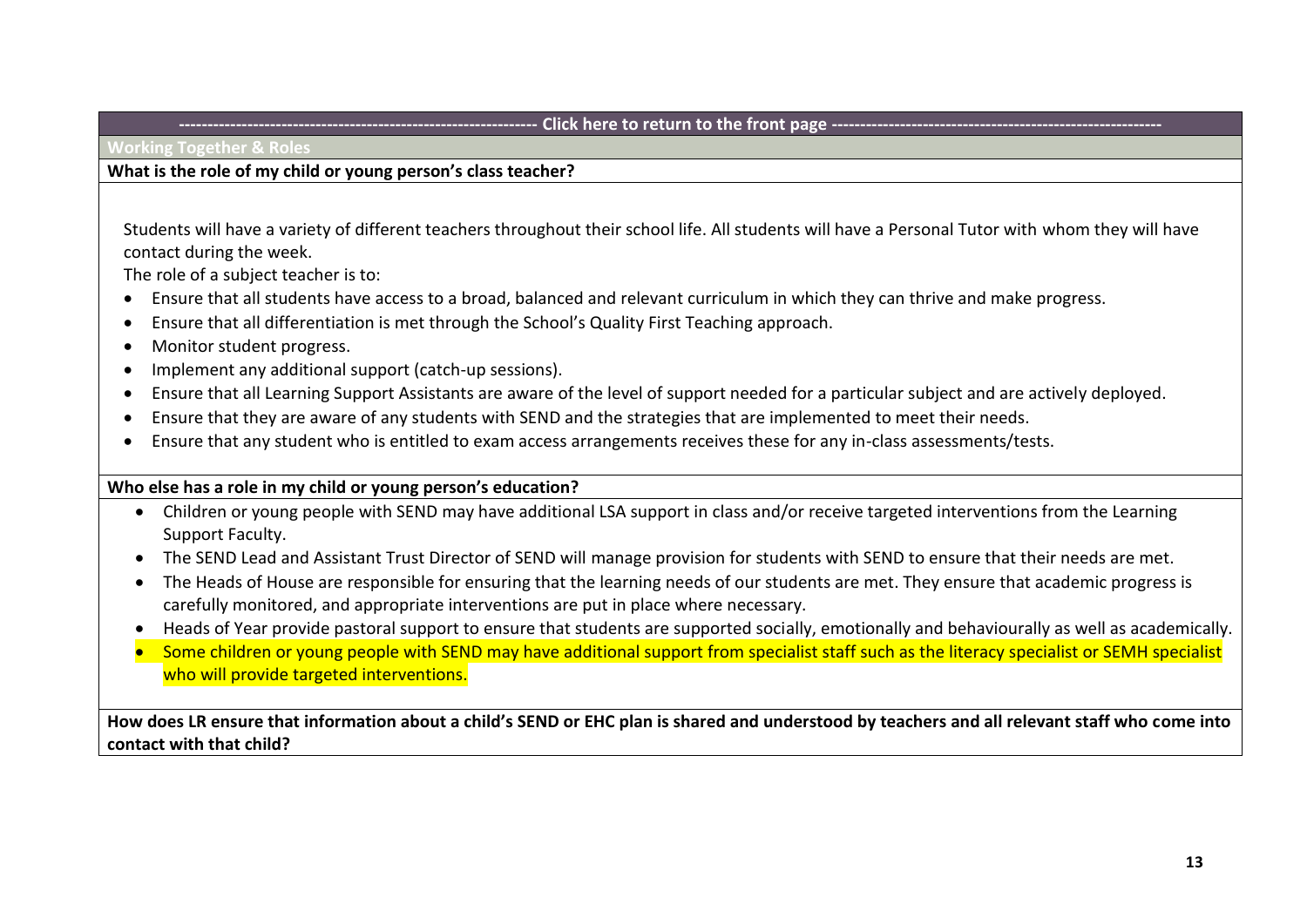<span id="page-12-0"></span>**Working Together & Roles** 

## **What is the role of my child or young person's class teacher?**

Students will have a variety of different teachers throughout their school life. All students will have a Personal Tutor with whom they will have contact during the week.

The role of a subject teacher is to:

- Ensure that all students have access to a broad, balanced and relevant curriculum in which they can thrive and make progress.
- Ensure that all differentiation is met through the School's Quality First Teaching approach.
- Monitor student progress.
- Implement any additional support (catch-up sessions).
- Ensure that all Learning Support Assistants are aware of the level of support needed for a particular subject and are actively deployed.
- Ensure that they are aware of any students with SEND and the strategies that are implemented to meet their needs.
- Ensure that any student who is entitled to exam access arrangements receives these for any in-class assessments/tests.

## **Who else has a role in my child or young person's education?**

- Children or young people with SEND may have additional LSA support in class and/or receive targeted interventions from the Learning Support Faculty.
- The SEND Lead and Assistant Trust Director of SEND will manage provision for students with SEND to ensure that their needs are met.
- The Heads of House are responsible for ensuring that the learning needs of our students are met. They ensure that academic progress is carefully monitored, and appropriate interventions are put in place where necessary.
- Heads of Year provide pastoral support to ensure that students are supported socially, emotionally and behaviourally as well as academically.
- Some children or young people with SEND may have additional support from specialist staff such as the literacy specialist or SEMH specialist who will provide targeted interventions.

**How does LR ensure that information about a child's SEND or EHC plan is shared and understood by teachers and all relevant staff who come into contact with that child?**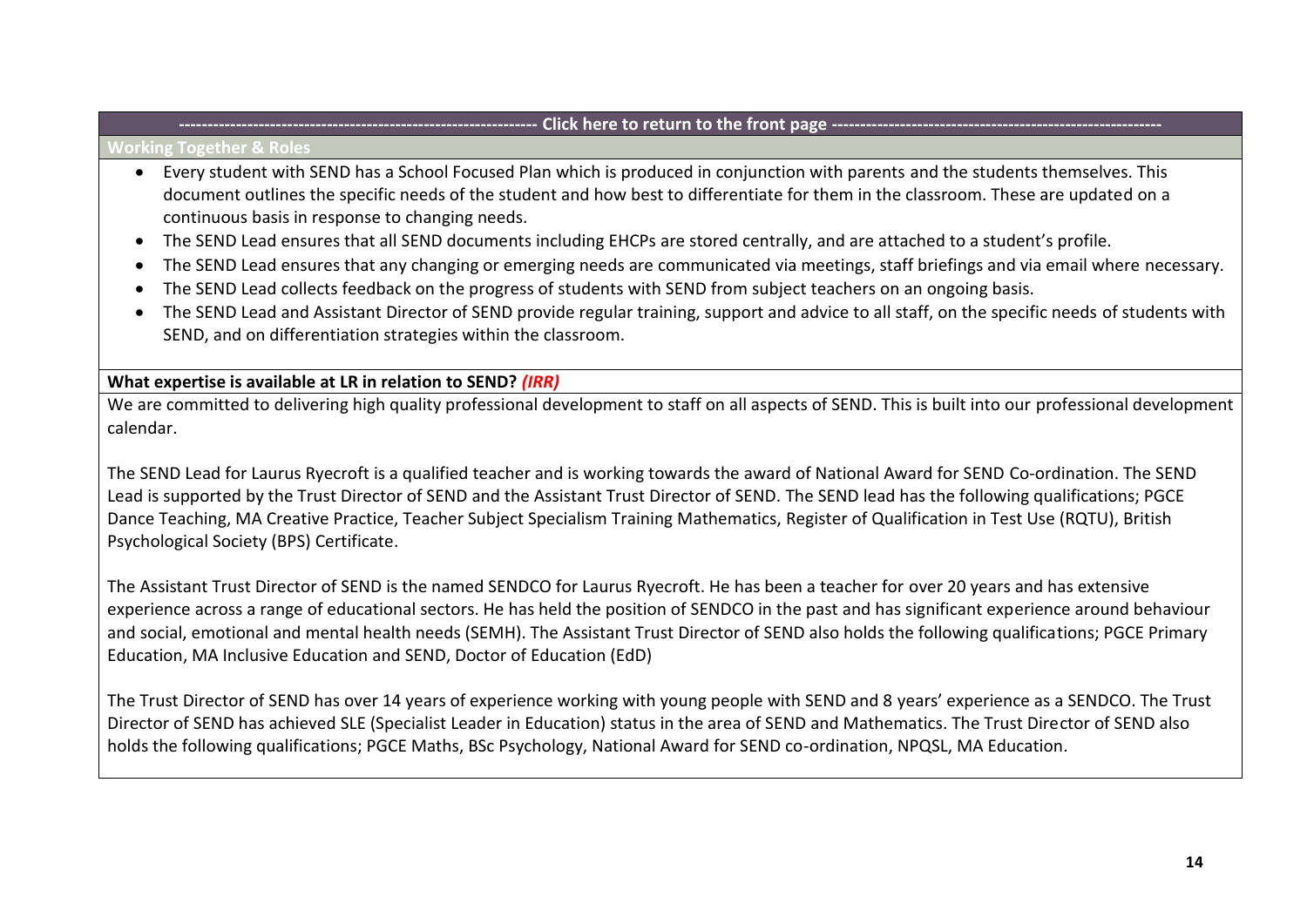#### **Working Together & Roles**

- Every student with SEND has a School Focused Plan which is produced in conjunction with parents and the students themselves. This document outlines the specific needs of the student and how best to differentiate for them in the classroom. These are updated on a continuous basis in response to changing needs.
- The SEND Lead ensures that all SEND documents including EHCPs are stored centrally, and are attached to a student's profile.
- The SEND Lead ensures that any changing or emerging needs are communicated via meetings, staff briefings and via email where necessary.
- The SEND Lead collects feedback on the progress of students with SEND from subject teachers on an ongoing basis.
- The SEND Lead and Assistant Director of SEND provide regular training, support and advice to all staff, on the specific needs of students with SEND, and on differentiation strategies within the classroom.

# **What expertise is available at LR in relation to SEND?** *(IRR)*

We are committed to delivering high quality professional development to staff on all aspects of SEND. This is built into our professional development calendar.

The SEND Lead for Laurus Ryecroft is a qualified teacher and is working towards the award of National Award for SEND Co-ordination. The SEND Lead is supported by the Trust Director of SEND and the Assistant Trust Director of SEND. The SEND lead has the following qualifications; PGCE Dance Teaching, MA Creative Practice, Teacher Subject Specialism Training Mathematics, Register of Qualification in Test Use (RQTU), British Psychological Society (BPS) Certificate.

The Assistant Trust Director of SEND is the named SENDCO for Laurus Ryecroft. He has been a teacher for over 20 years and has extensive experience across a range of educational sectors. He has held the position of SENDCO in the past and has significant experience around behaviour and social, emotional and mental health needs (SEMH). The Assistant Trust Director of SEND also holds the following qualifications; PGCE Primary Education, MA Inclusive Education and SEND, Doctor of Education (EdD)

The Trust Director of SEND has over 14 years of experience working with young people with SEND and 8 years' experience as a SENDCO. The Trust Director of SEND has achieved SLE (Specialist Leader in Education) status in the area of SEND and Mathematics. The Trust Director of SEND also holds the following qualifications; PGCE Maths, BSc Psychology, National Award for SEND co-ordination, NPQSL, MA Education.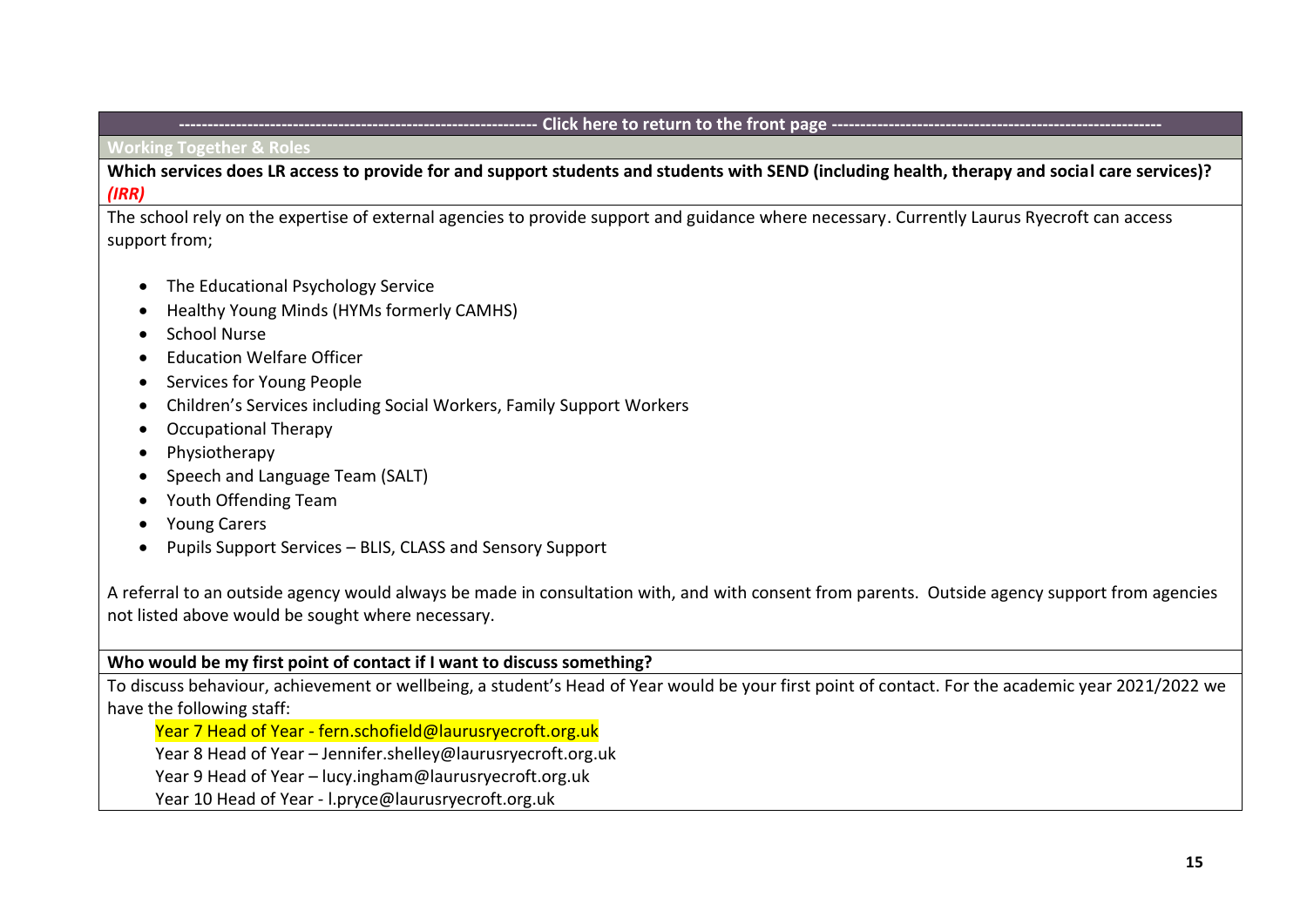**Working Together & Roles** 

**Which services does LR access to provide for and support students and students with SEND (including health, therapy and social care services)?**  *(IRR)*

The school rely on the expertise of external agencies to provide support and guidance where necessary. Currently Laurus Ryecroft can access support from;

- The Educational Psychology Service
- Healthy Young Minds (HYMs formerly CAMHS)
- School Nurse
- Education Welfare Officer
- Services for Young People
- Children's Services including Social Workers, Family Support Workers
- Occupational Therapy
- Physiotherapy
- Speech and Language Team (SALT)
- Youth Offending Team
- Young Carers
- Pupils Support Services BLIS, CLASS and Sensory Support

A referral to an outside agency would always be made in consultation with, and with consent from parents. Outside agency support from agencies not listed above would be sought where necessary.

**Who would be my first point of contact if I want to discuss something?**

To discuss behaviour, achievement or wellbeing, a student's Head of Year would be your first point of contact. For the academic year 2021/2022 we have the following staff:

Year 7 Head of Year - fern.schofield@laurusryecroft.org.uk

Year 8 Head of Year – [Jennifer.shelley@laurusryecroft.org.uk](mailto:Jennifer.shelley@laurusryecroft.org.uk)

Year 9 Head of Year – [lucy.ingham@laurusryecroft.org.uk](mailto:lucy.ingham@laurusryecroft.org.uk)

Year 10 Head of Year - [l.pryce@laurusryecroft.org.uk](mailto:l.pryce@laurusryecroft.org.uk)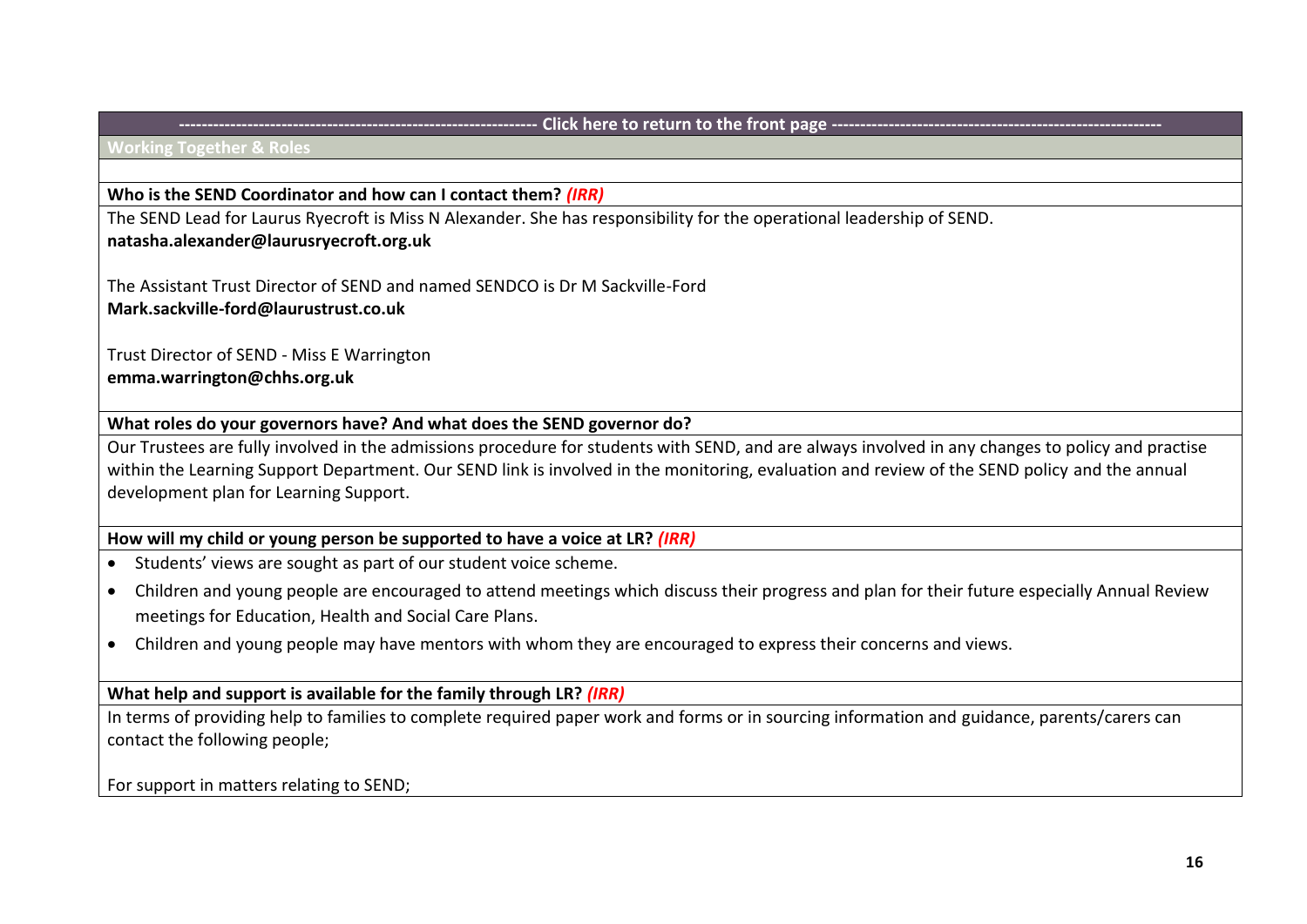#### **Working Together & Roles**

## **Who is the SEND Coordinator and how can I contact them?** *(IRR)*

The SEND Lead for Laurus Ryecroft is Miss N Alexander. She has responsibility for the operational leadership of SEND. **[natasha.alexander@laurusryecroft.org.uk](mailto:Helen.pointon@lauruscheadlehulme.org.uk)**

The Assistant Trust Director of SEND and named SENDCO is Dr M Sackville-Ford **[Mark.sackville-ford@laurustrust.co.uk](mailto:Mark.sackville-ford@laurustrust.co.uk)**

Trust Director of SEND - Miss E Warrington **[emma.warrington@c](mailto:emma.warrington@)hhs.org.uk** 

**What roles do your governors have? And what does the SEND governor do?**

Our Trustees are fully involved in the admissions procedure for students with SEND, and are always involved in any changes to policy and practise within the Learning Support Department. Our SEND link is involved in the monitoring, evaluation and review of the SEND policy and the annual development plan for Learning Support.

# **How will my child or young person be supported to have a voice at LR?** *(IRR)*

- Students' views are sought as part of our student voice scheme.
- Children and young people are encouraged to attend meetings which discuss their progress and plan for their future especially Annual Review meetings for Education, Health and Social Care Plans.
- Children and young people may have mentors with whom they are encouraged to express their concerns and views.

## **What help and support is available for the family through LR?** *(IRR)*

In terms of providing help to families to complete required paper work and forms or in sourcing information and guidance, parents/carers can contact the following people;

For support in matters relating to SEND;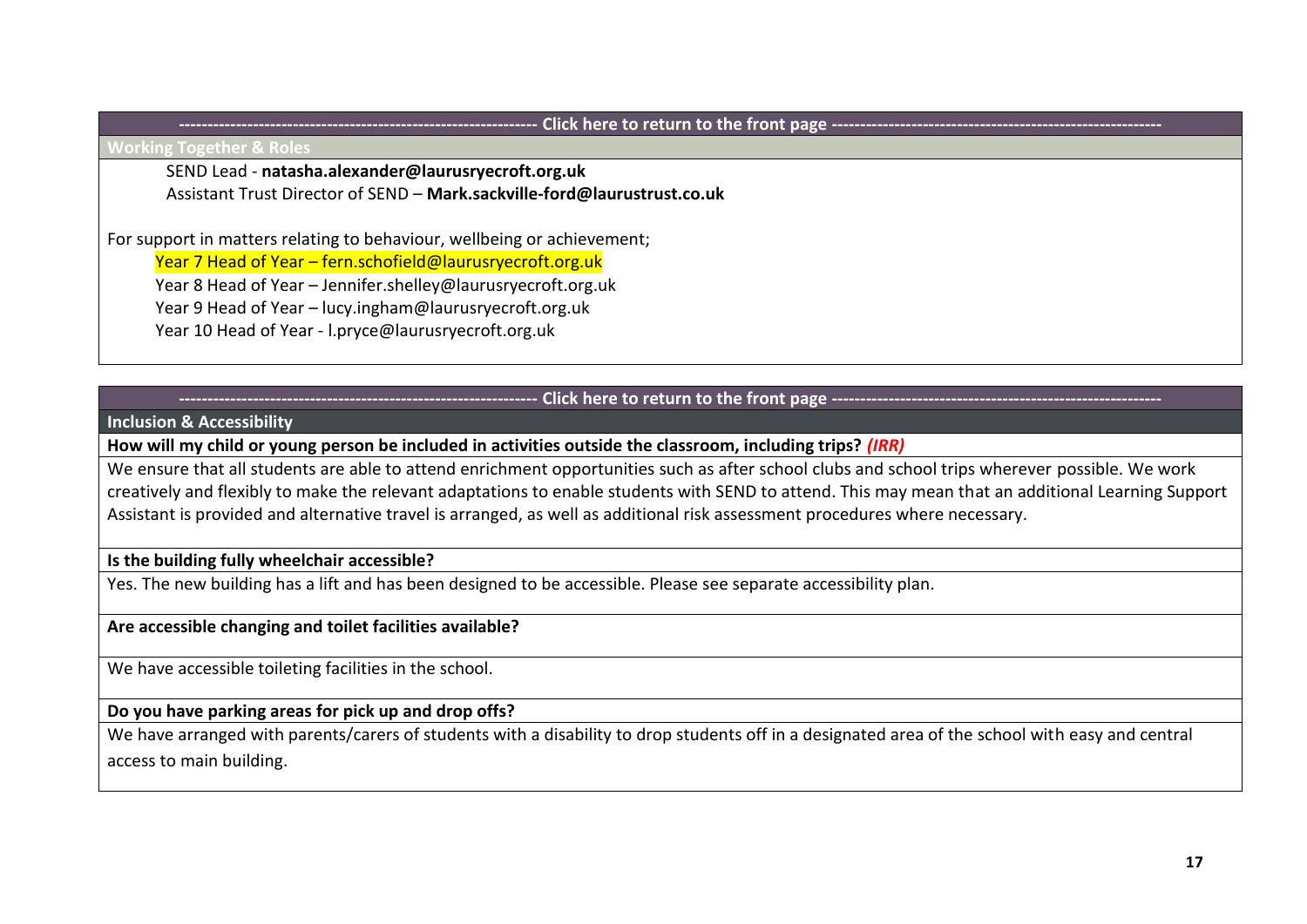**Working Together & Roles** 

SEND Lead - **[natasha.alexander@laurusryecroft.org.uk](mailto:Helen.pointon@lauruscheadlehulme.org.uk)**

Assistant Trust Director of SEND – **[Mark.sackville-ford@laurustrust.co.uk](mailto:Mark.sackville-ford@laurustrust.co.uk)**

For support in matters relating to behaviour, wellbeing or achievement;

Year 7 Head of Year – fern.schofield@laurusryecroft.org.uk

Year 8 Head of Year – Jennifer.shelley@laurusryecroft.org.uk

Year 9 Head of Year – lucy.ingham@laurusryecroft.org.uk

Year 10 Head of Year - l.pryce@laurusryecroft.org.uk

Click here to return to the front page --

<span id="page-16-0"></span>**Inclusion & Accessibility**

**How will my child or young person be included in activities outside the classroom, including trips?** *(IRR)*

We ensure that all students are able to attend enrichment opportunities such as after school clubs and school trips wherever possible. We work creatively and flexibly to make the relevant adaptations to enable students with SEND to attend. This may mean that an additional Learning Support Assistant is provided and alternative travel is arranged, as well as additional risk assessment procedures where necessary.

## **Is the building fully wheelchair accessible?**

Yes. The new building has a lift and has been designed to be accessible. Please see separate accessibility plan.

# **Are accessible changing and toilet facilities available?**

We have accessible toileting facilities in the school.

# **Do you have parking areas for pick up and drop offs?**

We have arranged with parents/carers of students with a disability to drop students off in a designated area of the school with easy and central access to main building.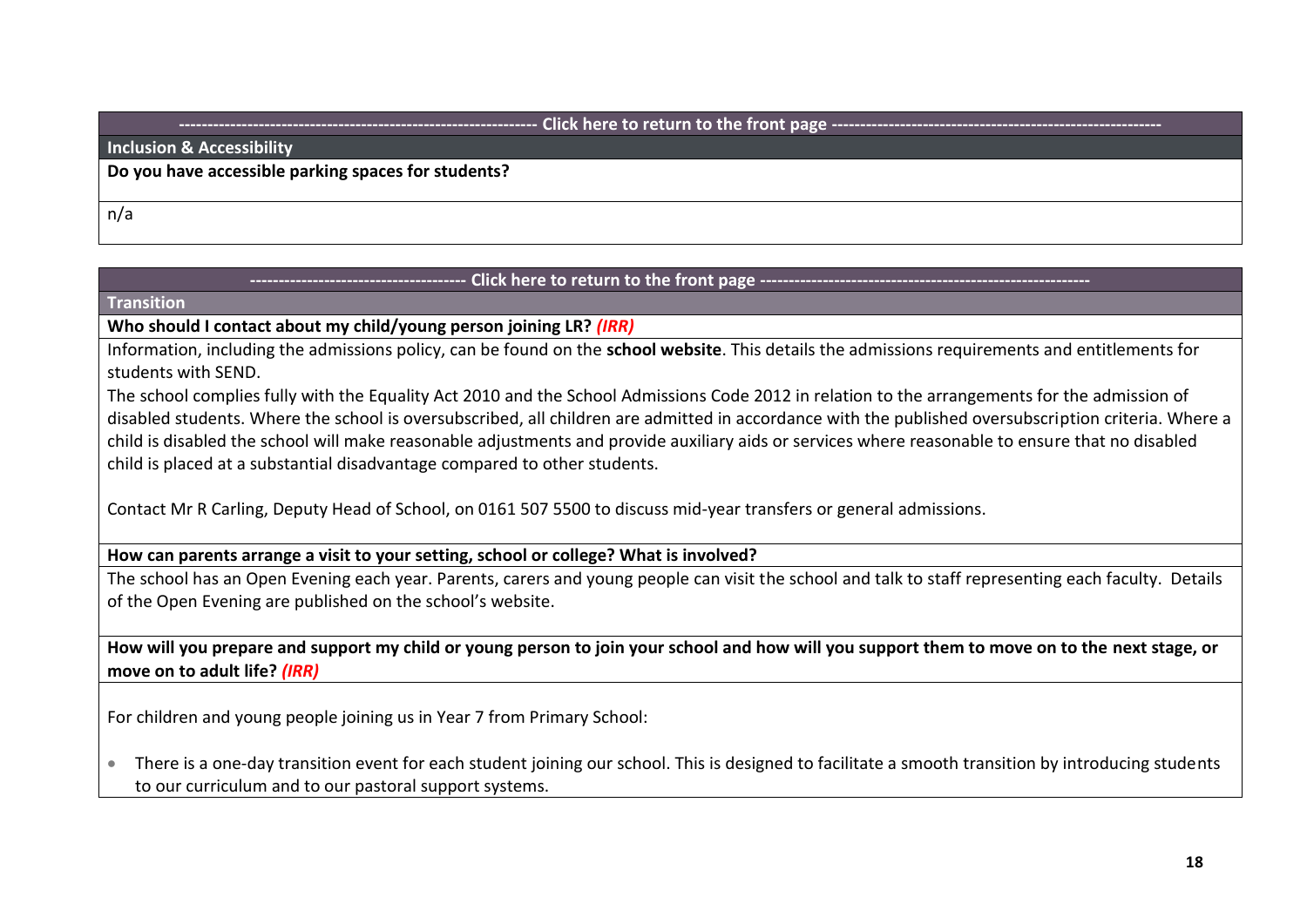## **Inclusion & Accessibility**

**Do you have accessible parking spaces for students?**

n/a

# Click here to return to the front page --

#### <span id="page-17-0"></span>**Transition**

# **Who should I contact about my child/young person joining LR?** *(IRR)*

Information, including the admissions policy, can be found on the **[school website](http://vle.hccs.info/index.phtml?d=164674)**. This details the admissions requirements and entitlements for students with SEND.

The school complies fully with the Equality Act 2010 and the School Admissions Code 2012 in relation to the arrangements for the admission of disabled students. Where the school is oversubscribed, all children are admitted in accordance with the published oversubscription criteria. Where a child is disabled the school will make reasonable adjustments and provide auxiliary aids or services where reasonable to ensure that no disabled child is placed at a substantial disadvantage compared to other students.

Contact Mr R Carling, Deputy Head of School, on 0161 507 5500 to discuss mid-year transfers or general admissions.

# **How can parents arrange a visit to your setting, school or college? What is involved?**

The school has an Open Evening each year. Parents, carers and young people can visit the school and talk to staff representing each faculty. Details of the Open Evening are published on the school's website.

**How will you prepare and support my child or young person to join your school and how will you support them to move on to the next stage, or move on to adult life?** *(IRR)*

For children and young people joining us in Year 7 from Primary School:

• There is a one-day transition event for each student joining our school. This is designed to facilitate a smooth transition by introducing students to our curriculum and to our pastoral support systems.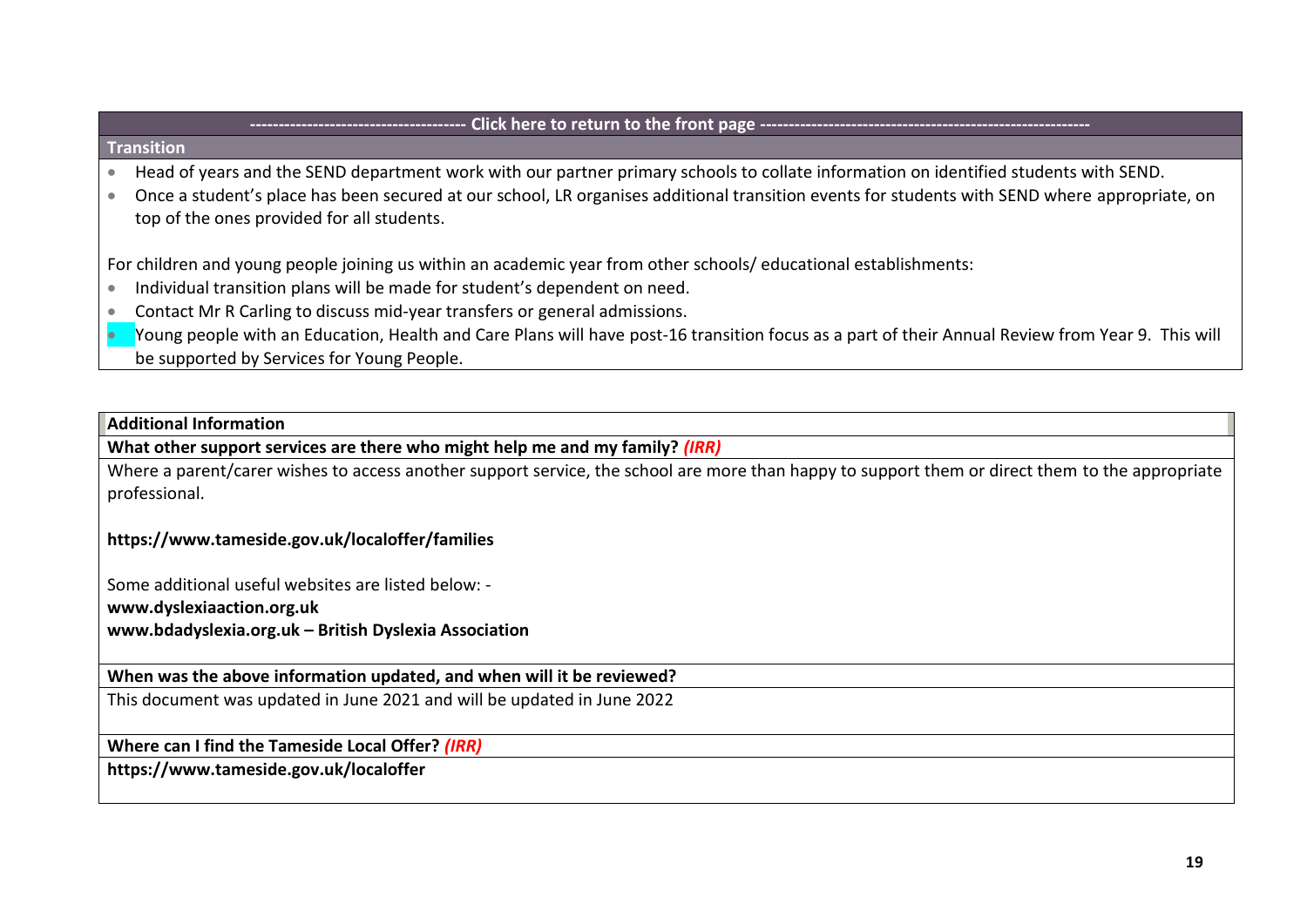## **Transition**

- Head of years and the SEND department work with our partner primary schools to collate information on identified students with SEND.
- Once a student's place has been secured at our school, LR organises additional transition events for students with SEND where appropriate, on top of the ones provided for all students.

For children and young people joining us within an academic year from other schools/ educational establishments:

- Individual transition plans will be made for student's dependent on need.
- Contact Mr R Carling to discuss mid-year transfers or general admissions.
- Young people with an Education, Health and Care Plans will have post-16 transition focus as a part of their Annual Review from Year 9. This will be supported by Services for Young People.

## <span id="page-18-0"></span>**Additional Information**

**What other support services are there who might help me and my family?** *(IRR)*

Where a parent/carer wishes to access another support service, the school are more than happy to support them or direct them to the appropriate professional.

# **<https://www.tameside.gov.uk/localoffer/families>**

Some additional useful websites are listed below: -

**[www.dyslexiaaction.org.uk](http://www.dyslexiaaction.org.uk/)**

**[www.bdadyslexia.org.uk](http://www.bdadyslexia.org.uk/) – British Dyslexia Association**

## **When was the above information updated, and when will it be reviewed?**

This document was updated in June 2021 and will be updated in June 2022

**Where can I find the Tameside Local Offer?** *(IRR)*

**<https://www.tameside.gov.uk/localoffer>**